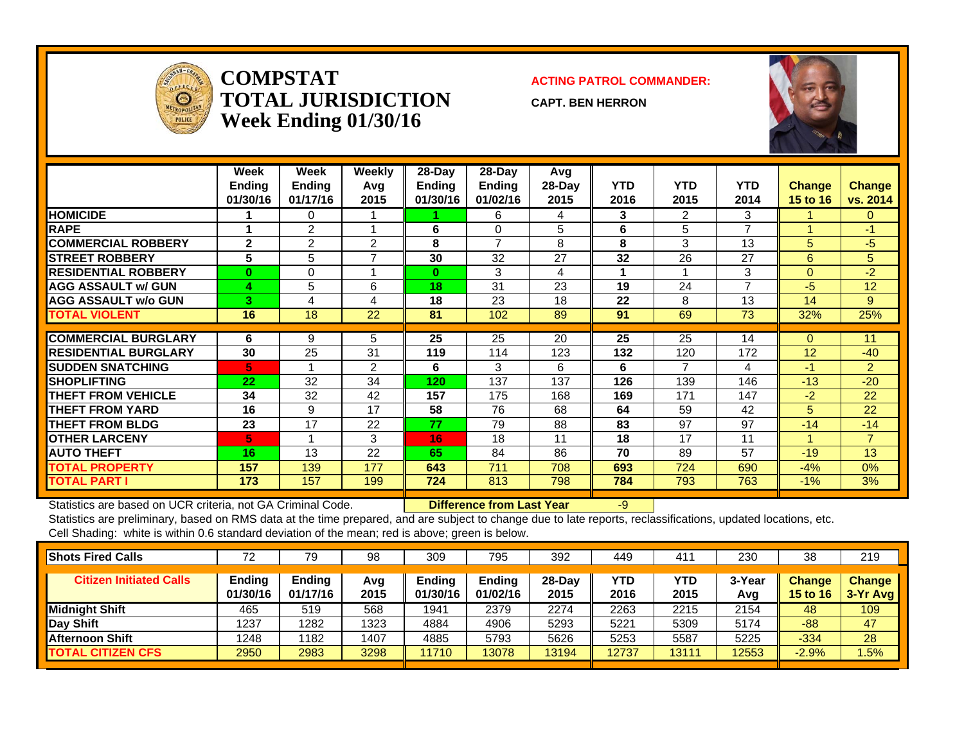

**COMPSTATTOTAL JURISDICTIONWeek Ending 01/30/16**

**ACTING PATROL COMMANDER:**

**CAPT. BEN HERRON**



|                             | Week<br><b>Ending</b><br>01/30/16 | Week<br><b>Ending</b><br>01/17/16 | <b>Weekly</b><br>Avq<br>2015 | $28-Day$<br><b>Endina</b><br>01/30/16 | $28-Day$<br>Ending<br>01/02/16 | Avg<br>28-Dav<br>2015 | YTD<br>2016 | <b>YTD</b><br>2015 | <b>YTD</b><br>2014 | <b>Change</b><br>15 to 16 | <b>Change</b><br>vs. 2014 |
|-----------------------------|-----------------------------------|-----------------------------------|------------------------------|---------------------------------------|--------------------------------|-----------------------|-------------|--------------------|--------------------|---------------------------|---------------------------|
| <b>HOMICIDE</b>             |                                   | 0                                 |                              |                                       | 6                              | 4                     | 3           | $\overline{2}$     | 3                  |                           | 0                         |
| <b>RAPE</b>                 |                                   | 2                                 |                              | 6                                     | 0                              | 5                     | 6           | 5                  | $\overline{ }$     |                           | -1                        |
| <b>COMMERCIAL ROBBERY</b>   | $\mathbf{2}$                      | 2                                 | 2                            | 8                                     | $\overline{7}$                 | 8                     | 8           | 3                  | 13                 | 5                         | -5                        |
| <b>STREET ROBBERY</b>       | 5                                 | 5                                 | ⇁                            | 30                                    | 32                             | 27                    | 32          | 26                 | 27                 | 6                         | 5                         |
| <b>RESIDENTIAL ROBBERY</b>  | $\bf{0}$                          | 0                                 |                              | 0                                     | 3                              | 4                     |             |                    | 3                  | $\Omega$                  | $-2$                      |
| <b>AGG ASSAULT w/ GUN</b>   | 4                                 | 5                                 | 6                            | 18                                    | 31                             | 23                    | 19          | 24                 | $\overline{ }$     | $-5$                      | 12                        |
| <b>AGG ASSAULT w/o GUN</b>  | 3.                                | 4                                 | 4                            | 18                                    | 23                             | 18                    | 22          | 8                  | 13                 | 14                        | 9                         |
| <b>TOTAL VIOLENT</b>        | 16                                | 18                                | 22                           | 81                                    | 102                            | 89                    | 91          | 69                 | 73                 | 32%                       | 25%                       |
|                             |                                   |                                   |                              |                                       |                                |                       |             |                    |                    |                           |                           |
| <b>COMMERCIAL BURGLARY</b>  | 6                                 | 9                                 | 5                            | 25                                    | 25                             | 20                    | 25          | 25                 | 14                 | $\Omega$                  | 11                        |
| <b>RESIDENTIAL BURGLARY</b> | 30                                | 25                                | 31                           | 119                                   | 114                            | 123                   | 132         | 120                | 172                | 12                        | $-40$                     |
| <b>SUDDEN SNATCHING</b>     | 5.                                |                                   | 2                            | 6                                     | 3                              | 6                     | 6           | 7                  | 4                  | $-1$                      | $\overline{2}$            |
| <b>ISHOPLIFTING</b>         | 22                                | 32                                | 34                           | 120                                   | 137                            | 137                   | 126         | 139                | 146                | $-13$                     | $-20$                     |
| <b>THEFT FROM VEHICLE</b>   | 34                                | 32                                | 42                           | 157                                   | 175                            | 168                   | 169         | 171                | 147                | $-2$                      | 22                        |
| <b>THEFT FROM YARD</b>      | 16                                | 9                                 | 17                           | 58                                    | 76                             | 68                    | 64          | 59                 | 42                 | 5.                        | 22                        |
| <b>THEFT FROM BLDG</b>      | 23                                | 17                                | 22                           | 77                                    | 79                             | 88                    | 83          | 97                 | 97                 | $-14$                     | $-14$                     |
| <b>OTHER LARCENY</b>        | 5                                 | 1                                 | 3                            | 16                                    | 18                             | 11                    | 18          | 17                 | 11                 |                           | $\overline{7}$            |
| <b>AUTO THEFT</b>           | 16                                | 13                                | 22                           | 65                                    | 84                             | 86                    | 70          | 89                 | 57                 | $-19$                     | 13                        |
| <b>TOTAL PROPERTY</b>       | 157                               | 139                               | 177                          | 643                                   | 711                            | 708                   | 693         | 724                | 690                | $-4%$                     | 0%                        |
| <b>TOTAL PART I</b>         | 173                               | 157                               | 199                          | 724                                   | 813                            | 798                   | 784         | 793                | 763                | $-1\%$                    | 3%                        |

Statistics are based on UCR criteria, not GA Criminal Code. **Difference from Last Year** -9

| <b>Shots Fired Calls</b>       | ⇁⌒<br>$\sim$       | 79                        | 98          | 309                | 795                       | 392            | 449         | 41          | 230           | 38                        | 219                         |
|--------------------------------|--------------------|---------------------------|-------------|--------------------|---------------------------|----------------|-------------|-------------|---------------|---------------------------|-----------------------------|
| <b>Citizen Initiated Calls</b> | Ending<br>01/30/16 | <b>Ending</b><br>01/17/16 | Avg<br>2015 | Ending<br>01/30/16 | <b>Ending</b><br>01/02/16 | 28-Dav<br>2015 | YTD<br>2016 | YTD<br>2015 | 3-Year<br>Avg | <b>Change</b><br>15 to 16 | <b>Change</b><br>$3-Yr$ Avg |
| <b>Midnight Shift</b>          | 465                | 519                       | 568         | 1941               | 2379                      | 2274           | 2263        | 2215        | 2154          | 48                        | 109                         |
| Day Shift                      | 1237               | 1282                      | 1323        | 4884               | 4906                      | 5293           | 5221        | 5309        | 5174          | $-88$                     | 47                          |
| Afternoon Shift                | 1248               | 182                       | 1407        | 4885               | 5793                      | 5626           | 5253        | 5587        | 5225          | $-334$                    | 28                          |
| <b>TOTAL CITIZEN CFS</b>       | 2950               | 2983                      | 3298        | 11710              | 13078                     | 13194          | 12737       | 3111        | 12553         | $-2.9%$                   | .5%                         |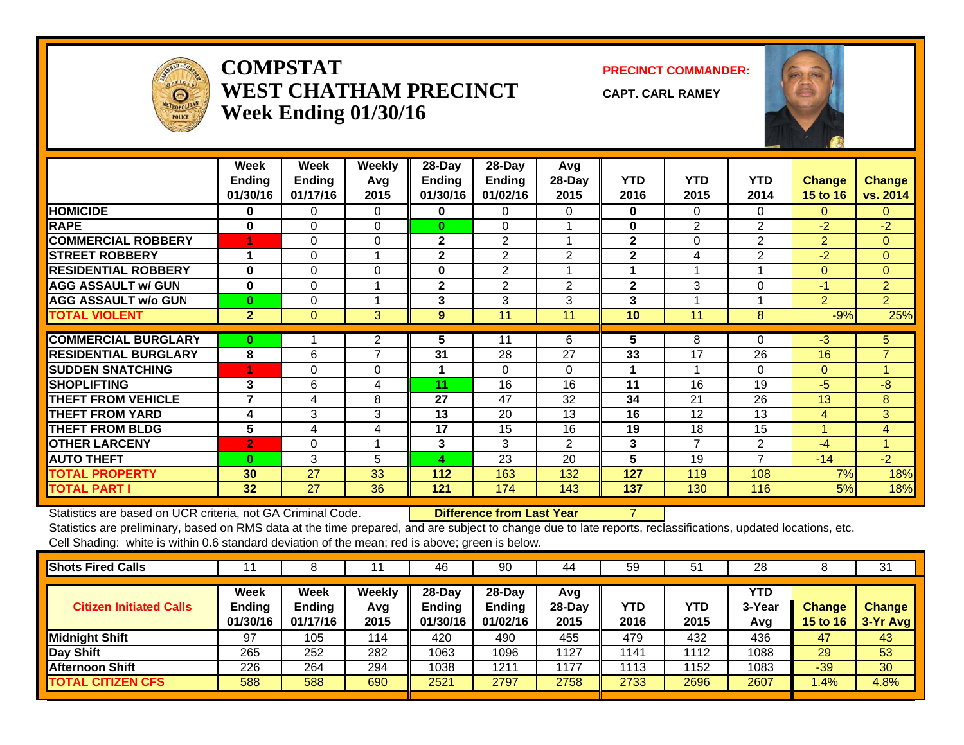

#### **COMPSTATWEST CHATHAM PRECINCTWeek Ending 01/30/16**

**PRECINCT COMMANDER:**

**CAPT. CARL RAMEY**



|                             | Week<br><b>Ending</b><br>01/30/16 | Week<br><b>Ending</b><br>01/17/16 | <b>Weekly</b><br>Avg<br>2015 | 28-Day<br><b>Ending</b><br>01/30/16 | 28-Day<br>Ending<br>01/02/16 | Avg<br>28-Day<br>2015 | <b>YTD</b><br>2016 | <b>YTD</b><br>2015 | <b>YTD</b><br>2014 | Change<br>15 to 16 | <b>Change</b><br>vs. 2014 |
|-----------------------------|-----------------------------------|-----------------------------------|------------------------------|-------------------------------------|------------------------------|-----------------------|--------------------|--------------------|--------------------|--------------------|---------------------------|
| <b>HOMICIDE</b>             | $\bf{0}$                          | $\Omega$                          | $\Omega$                     | $\mathbf{0}$                        | $\Omega$                     | 0                     | $\bf{0}$           | 0                  | $\Omega$           | 0                  | $\mathbf{0}$              |
| <b>RAPE</b>                 | $\bf{0}$                          | $\Omega$                          | $\Omega$                     | $\bf{0}$                            | $\Omega$                     |                       | $\bf{0}$           | 2                  | 2                  | $-2$               | $-2$                      |
| <b>COMMERCIAL ROBBERY</b>   |                                   | $\Omega$                          | $\Omega$                     | $\mathbf{2}$                        | 2                            |                       | $\mathbf{2}$       | $\Omega$           | $\overline{2}$     | $\overline{2}$     | $\Omega$                  |
| <b>STREET ROBBERY</b>       | -4                                | $\Omega$                          |                              | $\mathbf{2}$                        | 2                            | $\overline{2}$        | $\mathbf{2}$       | 4                  | $\overline{2}$     | $-2$               | $\mathbf{0}$              |
| <b>RESIDENTIAL ROBBERY</b>  | 0                                 | $\Omega$                          | $\Omega$                     | $\bf{0}$                            | 2                            |                       | 1                  |                    |                    | $\Omega$           | $\Omega$                  |
| <b>AGG ASSAULT w/ GUN</b>   | $\bf{0}$                          | $\Omega$                          |                              | $\mathbf 2$                         | 2                            | $\overline{2}$        | $\mathbf{2}$       | 3                  | 0                  | $-1$               | $\overline{2}$            |
| <b>AGG ASSAULT w/o GUN</b>  | $\bf{0}$                          | $\Omega$                          |                              | 3                                   | 3                            | 3                     | 3                  |                    |                    | $\overline{2}$     | $\overline{2}$            |
| <b>TOTAL VIOLENT</b>        | $\overline{2}$                    | $\mathbf{0}$                      | 3                            | 9                                   | 11                           | 11                    | 10                 | 11                 | 8                  | $-9%$              | 25%                       |
|                             |                                   |                                   |                              |                                     |                              |                       |                    |                    |                    |                    |                           |
| <b>COMMERCIAL BURGLARY</b>  | $\bf{0}$                          |                                   | $\overline{2}$               | 5                                   | 11                           | 6                     | 5                  | 8                  | 0                  | $-3$               | 5                         |
| <b>RESIDENTIAL BURGLARY</b> | 8                                 | 6                                 | $\overline{\phantom{a}}$     | 31                                  | 28                           | 27                    | 33                 | 17                 | 26                 | 16                 | $\overline{7}$            |
| <b>SUDDEN SNATCHING</b>     | 4                                 | $\mathbf 0$                       | $\Omega$                     |                                     | $\Omega$                     | 0                     |                    |                    | $\Omega$           | $\mathbf{0}$       |                           |
| <b>SHOPLIFTING</b>          | 3                                 | 6                                 | 4                            | 11                                  | 16                           | 16                    | 11                 | 16                 | 19                 | -5                 | -8                        |
| <b>THEFT FROM VEHICLE</b>   | $\overline{\mathbf{z}}$           | 4                                 | 8                            | 27                                  | 47                           | 32                    | 34                 | 21                 | 26                 | 13                 | 8                         |
| <b>THEFT FROM YARD</b>      | 4                                 | 3                                 | 3                            | 13                                  | 20                           | 13                    | 16                 | 12                 | 13                 | 4                  | 3 <sup>°</sup>            |
| <b>THEFT FROM BLDG</b>      | 5                                 | 4                                 | 4                            | 17                                  | 15                           | 16                    | 19                 | 18                 | 15                 | $\overline{A}$     | $\overline{4}$            |
| <b>OTHER LARCENY</b>        | $\overline{2}$                    | 0                                 |                              | 3                                   | 3                            | 2                     | 3                  | 7                  | $\overline{2}$     | $-4$               |                           |
| <b>AUTO THEFT</b>           | $\mathbf{0}$                      | 3                                 | 5                            | 4                                   | 23                           | 20                    | 5                  | 19                 | $\overline{7}$     | $-14$              | $-2$                      |
| <b>TOTAL PROPERTY</b>       | 30                                | 27                                | 33                           | 112                                 | 163                          | 132                   | 127                | 119                | 108                | 7%                 | 18%                       |
| <b>TOTAL PART I</b>         | 32                                | 27                                | 36                           | 121                                 | 174                          | 143                   | 137                | 130                | 116                | 5%                 | 18%                       |

Statistics are based on UCR criteria, not GA Criminal Code. **Difference from Last Year** 7

| <b>Week</b><br>Weekly<br>$28$ -Day<br><b>Week</b><br>$28-Dav$<br>YTD<br>Avg<br>YTD<br><b>Ending</b><br>YTD<br><b>Ending</b><br><b>Ending</b><br>Ending<br>3-Year<br><b>Citizen Initiated Calls</b><br>$28-Day$<br><b>Change</b><br>Avg<br>01/30/16<br>2015<br>01/30/16<br>2015<br>01/17/16<br>01/02/16<br>2016<br>2015<br><b>15 to 16</b><br>Avg<br><b>Midnight Shift</b><br>432<br>97<br>420<br>490<br>479<br>43<br>105<br>455<br>436<br>114<br>47 | <b>Shots Fired Calls</b> |     |     |     | 46   | 90   | 44   | 59   | $5^{\prime}$ | 28   |    | 31                        |
|-----------------------------------------------------------------------------------------------------------------------------------------------------------------------------------------------------------------------------------------------------------------------------------------------------------------------------------------------------------------------------------------------------------------------------------------------------|--------------------------|-----|-----|-----|------|------|------|------|--------------|------|----|---------------------------|
|                                                                                                                                                                                                                                                                                                                                                                                                                                                     |                          |     |     |     |      |      |      |      |              |      |    | <b>Change</b><br>3-Yr Avg |
|                                                                                                                                                                                                                                                                                                                                                                                                                                                     |                          |     |     |     |      |      |      |      |              |      |    |                           |
|                                                                                                                                                                                                                                                                                                                                                                                                                                                     | <b>Day Shift</b>         | 265 | 252 | 282 | 1063 | 1096 | 1127 | 1141 | 1112         | 1088 | 29 | 53                        |
| 30<br><b>Afternoon Shift</b><br>226<br>294<br>1152<br>1038<br>1211<br>1177<br>1083<br>$-39$<br>264<br>1113                                                                                                                                                                                                                                                                                                                                          |                          |     |     |     |      |      |      |      |              |      |    |                           |
| 588<br>690<br>2521<br>2733<br>2696<br><b>TOTAL CITIZEN CFS</b><br>588<br>2797<br>2758<br>2607<br>1.4%                                                                                                                                                                                                                                                                                                                                               |                          |     |     |     |      |      |      |      |              |      |    | 4.8%                      |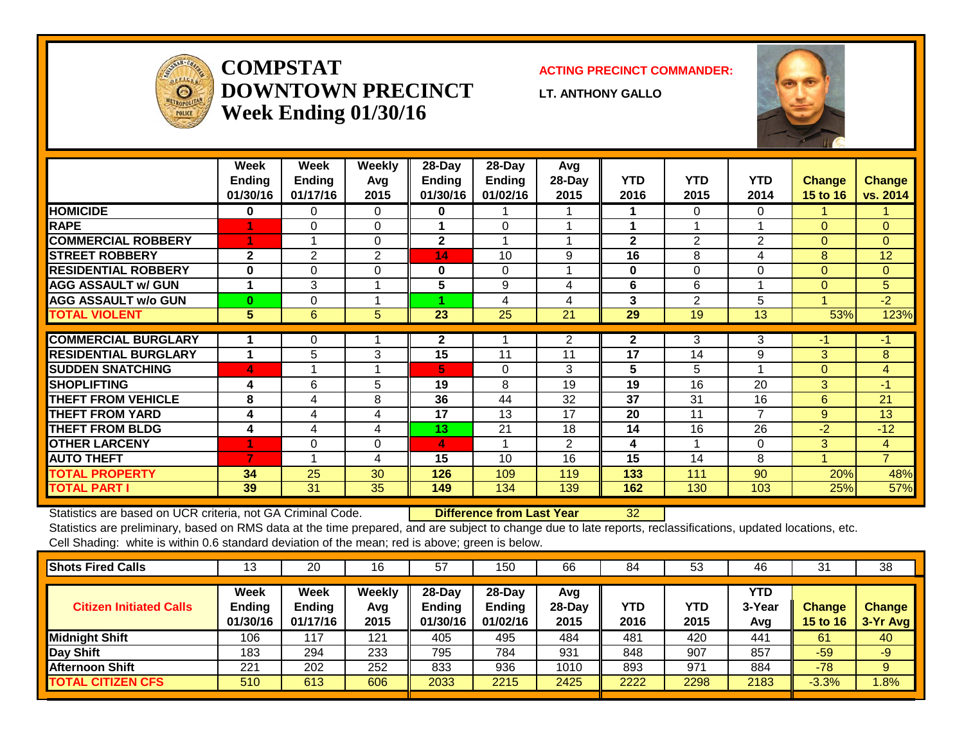

## **COMPSTATDOWNTOWN PRECINCTWeek Ending 01/30/16**

**ACTING PRECINCT COMMANDER:**

**LT. ANTHONY GALLO**



|                             | Week<br><b>Ending</b><br>01/30/16 | Week<br><b>Ending</b><br>01/17/16 | Weekly<br>Avg<br>2015 | 28-Day<br>Ending<br>01/30/16 | 28-Day<br><b>Ending</b><br>01/02/16 | Avg<br>28-Day<br>2015 | <b>YTD</b><br>2016 | <b>YTD</b><br>2015 | <b>YTD</b><br>2014 | <b>Change</b><br>15 to 16 | <b>Change</b><br>vs. 2014 |
|-----------------------------|-----------------------------------|-----------------------------------|-----------------------|------------------------------|-------------------------------------|-----------------------|--------------------|--------------------|--------------------|---------------------------|---------------------------|
| <b>HOMICIDE</b>             | 0                                 | 0                                 | 0                     | 0                            |                                     |                       |                    | 0                  | $\Omega$           |                           |                           |
| <b>RAPE</b>                 |                                   | 0                                 | 0                     |                              | $\Omega$                            |                       | 1                  |                    |                    | $\Omega$                  | $\mathbf{0}$              |
| <b>COMMERCIAL ROBBERY</b>   | 4                                 |                                   | $\Omega$              | $\mathbf{2}$                 |                                     |                       | $\mathbf{2}$       | $\overline{2}$     | $\overline{2}$     | $\Omega$                  | $\Omega$                  |
| <b>STREET ROBBERY</b>       | $\mathbf{2}$                      | $\mathbf{2}$                      | $\overline{2}$        | 14                           | 10                                  | 9                     | 16                 | 8                  | 4                  | 8                         | 12                        |
| <b>RESIDENTIAL ROBBERY</b>  | 0                                 | $\Omega$                          | $\Omega$              | 0                            | $\Omega$                            |                       | $\bf{0}$           | 0                  | 0                  | $\Omega$                  | $\Omega$                  |
| <b>AGG ASSAULT w/ GUN</b>   | 1                                 | 3                                 |                       | 5                            | 9                                   | 4                     | 6                  | 6                  |                    | $\Omega$                  | 5                         |
| <b>AGG ASSAULT w/o GUN</b>  | $\bf{0}$                          | 0                                 |                       |                              | 4                                   | 4                     | 3                  | 2                  | 5                  |                           | $-2$                      |
| <b>TOTAL VIOLENT</b>        | 5                                 | 6                                 | 5                     | 23                           | 25                                  | 21                    | 29                 | 19                 | 13                 | 53%                       | 123%                      |
| <b>COMMERCIAL BURGLARY</b>  |                                   | 0                                 |                       | $\mathbf{2}$                 |                                     | 2                     | $\mathbf{2}$       | 3                  | 3                  | $-1$                      | $-1$                      |
| <b>RESIDENTIAL BURGLARY</b> | 1                                 | 5                                 | 3                     | 15                           | 11                                  | 11                    | 17                 | 14                 | 9                  | 3                         | 8                         |
| <b>SUDDEN SNATCHING</b>     | $\blacktriangle$                  |                                   |                       | 5                            | $\Omega$                            | 3                     | 5                  | 5                  |                    | $\Omega$                  | $\overline{4}$            |
| <b>ISHOPLIFTING</b>         | 4                                 |                                   |                       |                              | 8                                   | 19                    | 19                 |                    | 20                 |                           | $-1$                      |
|                             |                                   | 6                                 | 5                     | 19                           |                                     |                       |                    | 16                 |                    | 3                         |                           |
| <b>THEFT FROM VEHICLE</b>   | 8                                 | 4                                 | 8                     | 36                           | 44                                  | 32                    | 37                 | 31                 | 16                 | 6                         | 21                        |
| <b>THEFT FROM YARD</b>      | 4                                 | 4                                 | 4                     | 17                           | 13                                  | 17                    | 20                 | 11                 | $\overline{7}$     | 9                         | 13                        |
| <b>THEFT FROM BLDG</b>      | 4                                 | 4                                 | 4                     | 13                           | 21                                  | 18                    | 14                 | 16                 | 26                 | $-2$                      | $-12$                     |
| <b>OTHER LARCENY</b>        | 4                                 | $\Omega$                          | $\mathbf 0$           | 4                            |                                     | $\overline{2}$        | 4                  |                    | $\Omega$           | 3                         | $\overline{4}$            |
| <b>AUTO THEFT</b>           | $\overline{7}$                    |                                   | 4                     | 15                           | 10                                  | 16                    | 15                 | 14                 | 8                  | 1                         | $\overline{7}$            |
| <b>TOTAL PROPERTY</b>       | 34                                | 25                                | 30                    | 126                          | 109                                 | 119                   | 133                | 111                | 90                 | 20%                       | 48%                       |
| <b>TOTAL PART I</b>         | 39                                | 31                                | 35                    | 149                          | 134                                 | 139                   | 162                | 130                | 103                | 25%                       | 57%                       |

Statistics are based on UCR criteria, not GA Criminal Code. **Difference from Last Year** 32

| <b>Shots Fired Calls</b>       | ں ا                        | 20                                | 16                    | 57                                     | 150                                   | 66                      | 84                 | 53          | 46                   | 31                               | 38                        |
|--------------------------------|----------------------------|-----------------------------------|-----------------------|----------------------------------------|---------------------------------------|-------------------------|--------------------|-------------|----------------------|----------------------------------|---------------------------|
| <b>Citizen Initiated Calls</b> | Week<br>Ending<br>01/30/16 | Week<br><b>Ending</b><br>01/17/16 | Weekly<br>Avg<br>2015 | $28$ -Day<br><b>Ending</b><br>01/30/16 | $28-Dav$<br><b>Ending</b><br>01/02/16 | Avg<br>$28-Day$<br>2015 | <b>YTD</b><br>2016 | YTD<br>2015 | YTD<br>3-Year<br>Avg | <b>Change</b><br><b>15 to 16</b> | <b>Change</b><br>3-Yr Avg |
| Midnight Shift                 | 106                        | 117                               | 121                   | 405                                    | 495                                   | 484                     | 481                | 420         | 441                  | 61                               | 40                        |
| Day Shift                      | 183                        | 294                               | 233                   | 795                                    | 784                                   | 931                     | 848                | 907         | 857                  | $-59$                            | $-9'$                     |
| <b>Afternoon Shift</b>         | 221                        | 202                               | 252                   | 833                                    | 936                                   | 1010                    | 893                | 971         | 884                  | $-78$                            | 9                         |
| <b>TOTAL CITIZEN CFS</b>       | 510                        | 613                               | 606                   | 2033                                   | 2215                                  | 2425                    | 2222               | 2298        | 2183                 | $-3.3%$                          | 1.8%                      |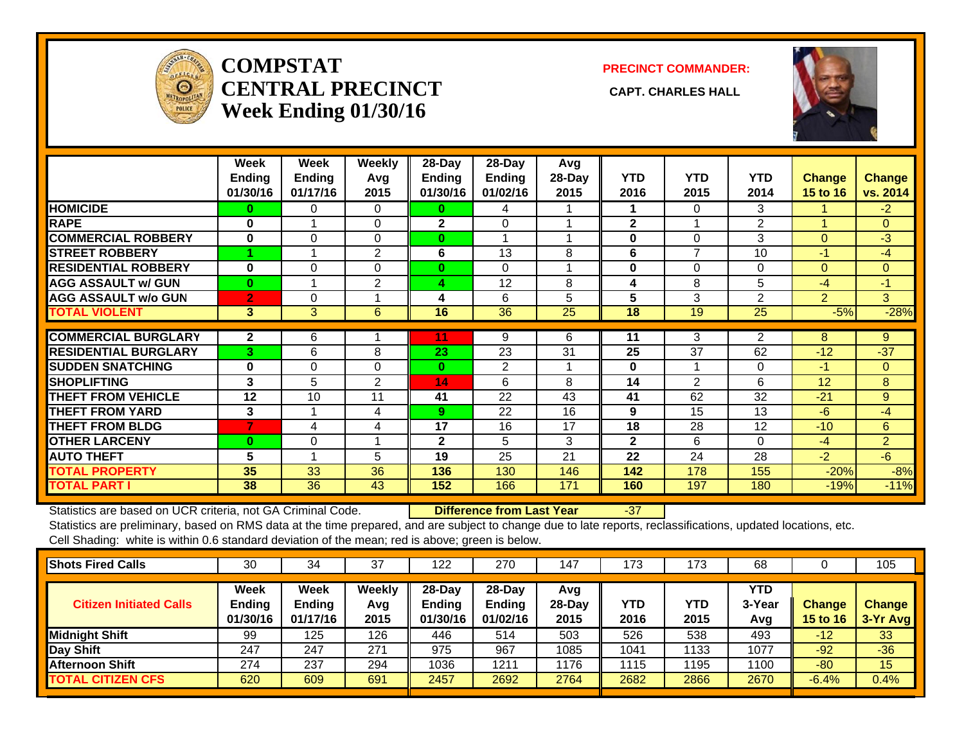

## **COMPSTATCENTRAL PRECINCT** CAPT. CHARLES HALL **Week Ending 01/30/16**

**PRECINCT COMMANDER:**



|                             | Week<br><b>Ending</b><br>01/30/16 | Week<br><b>Ending</b><br>01/17/16 | Weekly<br>Avq<br>2015 | $28$ -Day<br>Ending<br>01/30/16 | $28$ -Day<br>Ending<br>01/02/16 | Avg<br>28-Day<br>2015 | <b>YTD</b><br>2016 | <b>YTD</b><br>2015       | <b>YTD</b><br>2014 | <b>Change</b><br>15 to 16 | Change<br>vs. 2014 |
|-----------------------------|-----------------------------------|-----------------------------------|-----------------------|---------------------------------|---------------------------------|-----------------------|--------------------|--------------------------|--------------------|---------------------------|--------------------|
| <b>HOMICIDE</b>             | 0                                 | 0                                 | $\Omega$              | 0                               | 4                               |                       |                    | 0                        | 3                  |                           | $-2$               |
| <b>RAPE</b>                 | $\bf{0}$                          |                                   | $\Omega$              | $\mathbf{2}$                    | $\Omega$                        |                       | $\mathbf{2}$       |                          | 2                  |                           | $\Omega$           |
| <b>COMMERCIAL ROBBERY</b>   | 0                                 | $\Omega$                          | $\Omega$              | $\bf{0}$                        | -1                              | 4                     | $\bf{0}$           | 0                        | 3                  | $\Omega$                  | $-3$               |
| <b>STREET ROBBERY</b>       |                                   |                                   | $\overline{2}$        | 6                               | 13                              | 8                     | 6                  | $\overline{\phantom{a}}$ | 10                 | $-1$                      | $-4$               |
| <b>RESIDENTIAL ROBBERY</b>  | $\bf{0}$                          | $\Omega$                          | $\Omega$              | $\mathbf{0}$                    | $\Omega$                        |                       | $\bf{0}$           | 0                        | $\Omega$           | $\Omega$                  | $\mathbf{0}$       |
| <b>AGG ASSAULT w/ GUN</b>   | $\bf{0}$                          |                                   | 2                     | 4                               | 12                              | 8                     | 4                  | 8                        | 5                  | -4                        | $-1$               |
| <b>AGG ASSAULT w/o GUN</b>  | $\mathbf{2}$                      | $\Omega$                          |                       | 4                               | 6                               | 5                     | 5                  | 3                        | 2                  | $\overline{2}$            | 3                  |
| <b>TOTAL VIOLENT</b>        | 3                                 | 3                                 | 6                     | 16                              | 36                              | 25                    | 18                 | 19                       | 25                 | $-5%$                     | $-28%$             |
|                             |                                   |                                   |                       |                                 |                                 |                       |                    |                          |                    |                           |                    |
| <b>COMMERCIAL BURGLARY</b>  | $\mathbf{2}$                      | 6                                 |                       | 11                              | 9                               | 6                     | 11                 | 3                        | $\overline{2}$     | 8                         | 9                  |
| <b>RESIDENTIAL BURGLARY</b> | 3                                 | 6                                 | 8                     | 23                              | 23                              | 31                    | 25                 | 37                       | 62                 | $-12$                     | $-37$              |
| <b>SUDDEN SNATCHING</b>     | 0                                 | 0                                 | $\Omega$              | $\bf{0}$                        | 2                               |                       | $\bf{0}$           |                          | $\Omega$           | -1                        | $\Omega$           |
| <b>SHOPLIFTING</b>          | 3                                 | 5                                 | 2                     | 14                              | 6                               | 8                     | 14                 | $\overline{2}$           | 6                  | 12                        | 8                  |
| <b>THEFT FROM VEHICLE</b>   | 12                                | 10                                | 11                    | 41                              | 22                              | 43                    | 41                 | 62                       | 32                 | $-21$                     | 9                  |
| <b>THEFT FROM YARD</b>      | 3                                 |                                   | 4                     | 9                               | 22                              | 16                    | 9                  | 15                       | 13                 | $-6$                      | $-4$               |
| <b>THEFT FROM BLDG</b>      | 7                                 | 4                                 | 4                     | 17                              | 16                              | 17                    | 18                 | 28                       | 12                 | $-10$                     | 6                  |
| <b>OTHER LARCENY</b>        | $\bf{0}$                          | 0                                 |                       | $\mathbf{2}$                    | 5                               | 3                     | $\mathbf{2}$       | 6                        | $\Omega$           | $-4$                      | $\overline{2}$     |
| <b>AUTO THEFT</b>           | 5                                 |                                   | 5                     | 19                              | 25                              | 21                    | 22                 | 24                       | 28                 | $-2$                      | $-6$               |
| <b>TOTAL PROPERTY</b>       | 35                                | 33                                | 36                    | 136                             | 130                             | 146                   | 142                | 178                      | 155                | $-20%$                    | $-8%$              |
| <b>TOTAL PART I</b>         | 38                                | 36                                | 43                    | 152                             | 166                             | 171                   | 160                | 197                      | 180                | $-19%$                    | $-11%$             |

Statistics are based on UCR criteria, not GA Criminal Code. **Difference from Last Year** -37

| <b>Shots Fired Calls</b>       | 30                                       | 34                                | 37                    | 122                                    | 270                                   | 147                     | 173         | 173         | 68                   |                                  | 105                       |
|--------------------------------|------------------------------------------|-----------------------------------|-----------------------|----------------------------------------|---------------------------------------|-------------------------|-------------|-------------|----------------------|----------------------------------|---------------------------|
| <b>Citizen Initiated Calls</b> | <b>Week</b><br><b>Ending</b><br>01/30/16 | Week<br><b>Ending</b><br>01/17/16 | Weekly<br>Avg<br>2015 | $28$ -Day<br><b>Ending</b><br>01/30/16 | $28-Dav$<br><b>Ending</b><br>01/02/16 | Avg<br>$28-Day$<br>2015 | YTD<br>2016 | YTD<br>2015 | YTD<br>3-Year<br>Avg | <b>Change</b><br><b>15 to 16</b> | <b>Change</b><br>3-Yr Avg |
| Midnight Shift                 | 99                                       | 125                               | 126                   | 446                                    | 514                                   | 503                     | 526         | 538         | 493                  | -12                              | 33                        |
| Day Shift                      | 247                                      | 247                               | 271                   | 975                                    | 967                                   | 1085                    | 1041        | 1133        | 1077                 | $-92$                            | $-36$                     |
| <b>Afternoon Shift</b>         | 274                                      | 237                               | 294                   | 1036                                   | 1211                                  | 1176                    | 1115        | 1195        | 1100                 | $-80$                            | 15                        |
| <b>TOTAL CITIZEN CFS</b>       | 620                                      | 609                               | 691                   | 2457                                   | 2692                                  | 2764                    | 2682        | 2866        | 2670                 | $-6.4%$                          | 0.4%                      |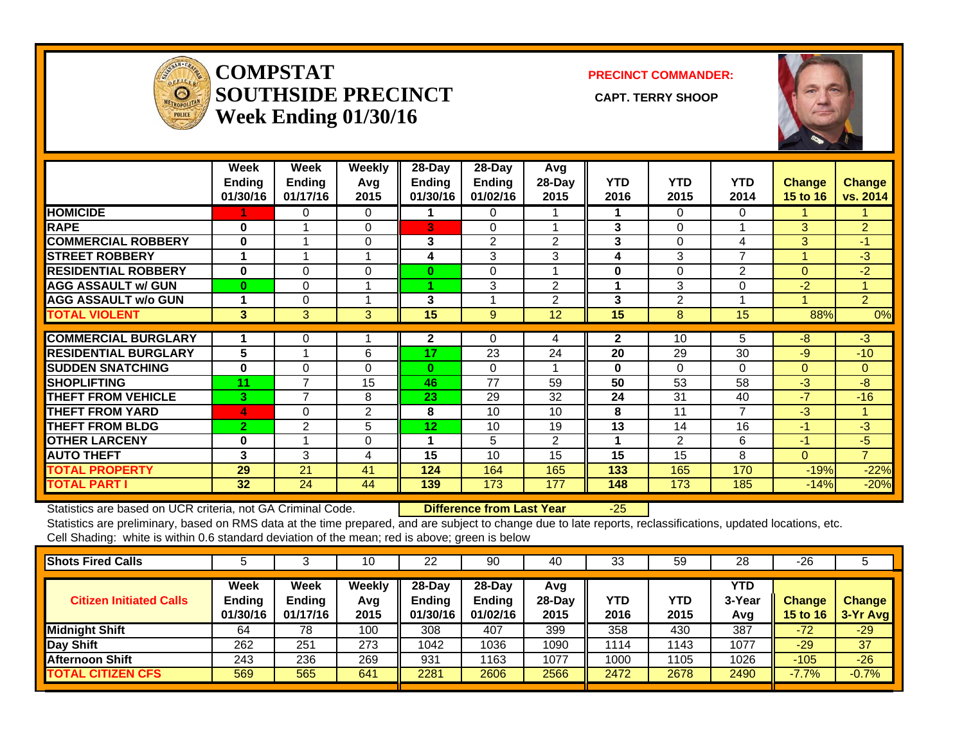

#### **COMPSTATSOUTHSIDE PRECINCT** CAPT. TERRY SHOOP **Week Ending 01/30/16**

**PRECINCT COMMANDER:**



|                             | Week<br><b>Ending</b><br>01/30/16 | Week<br><b>Ending</b><br>01/17/16 | Weekly<br>Avg<br>2015 | $28$ -Day<br><b>Ending</b><br>01/30/16 | $28-Day$<br><b>Ending</b><br>01/02/16 | Avg<br>$28-Day$<br>2015 | <b>YTD</b><br>2016 | <b>YTD</b><br>2015 | <b>YTD</b><br>2014 | <b>Change</b><br>15 to 16 | <b>Change</b><br>vs. 2014 |
|-----------------------------|-----------------------------------|-----------------------------------|-----------------------|----------------------------------------|---------------------------------------|-------------------------|--------------------|--------------------|--------------------|---------------------------|---------------------------|
| <b>HOMICIDE</b>             |                                   | 0                                 | 0                     |                                        | 0                                     |                         |                    | 0                  | 0                  |                           |                           |
| <b>RAPE</b>                 | $\bf{0}$                          |                                   | $\Omega$              | 3                                      | $\Omega$                              |                         | 3                  | 0                  |                    | 3                         | $\overline{2}$            |
| <b>COMMERCIAL ROBBERY</b>   | $\bf{0}$                          |                                   | $\Omega$              | 3                                      | 2                                     | 2                       | 3                  | 0                  | 4                  | 3                         | $-1$                      |
| <b>STREET ROBBERY</b>       |                                   |                                   | 4                     | 4                                      | 3                                     | 3                       | 4                  | 3                  | $\overline{ }$     |                           | $-3$                      |
| <b>RESIDENTIAL ROBBERY</b>  | $\bf{0}$                          | $\Omega$                          | $\Omega$              | 0                                      | 0                                     |                         | $\bf{0}$           | 0                  | $\overline{2}$     | $\Omega$                  | $-2$                      |
| <b>AGG ASSAULT w/ GUN</b>   | $\bf{0}$                          | 0                                 | 4                     |                                        | 3                                     | $\overline{2}$          | 1                  | 3                  | 0                  | $-2$                      | 4                         |
| <b>AGG ASSAULT w/o GUN</b>  |                                   | 0                                 |                       | 3                                      |                                       | 2                       | 3                  | 2                  |                    |                           | $\overline{2}$            |
| <b>TOTAL VIOLENT</b>        | 3                                 | 3                                 | 3                     | 15                                     | 9                                     | 12                      | 15                 | 8                  | 15                 | 88%                       | 0%                        |
| <b>COMMERCIAL BURGLARY</b>  |                                   | 0                                 |                       | 2                                      | 0                                     | 4                       | $\mathbf{2}$       | 10                 | 5                  | -8                        | $-3$                      |
| <b>RESIDENTIAL BURGLARY</b> | 5                                 |                                   | 6                     | 17                                     | 23                                    | 24                      | 20                 | 29                 | 30                 | $-9$                      | $-10$                     |
| <b>SUDDEN SNATCHING</b>     | 0                                 |                                   | $\Omega$              | $\mathbf{0}$                           | 0                                     |                         | $\bf{0}$           | 0                  | $\Omega$           |                           |                           |
|                             |                                   | 0<br>7                            |                       | 46                                     | 77                                    |                         | 50                 |                    |                    | $\overline{0}$            | $\overline{0}$            |
| <b>SHOPLIFTING</b>          | 11                                | $\overline{7}$                    | 15                    |                                        |                                       | 59                      |                    | 53                 | 58                 | $-3$                      | $-8$                      |
| <b>THEFT FROM VEHICLE</b>   | 3                                 |                                   | 8                     | 23                                     | 29                                    | 32                      | 24                 | 31                 | 40                 | $-7$                      | $-16$                     |
| <b>THEFT FROM YARD</b>      | 4                                 | 0                                 | $\overline{2}$        | 8                                      | 10                                    | 10                      | 8                  | 11                 | $\overline{7}$     | $-3$                      | 4                         |
| <b>THEFT FROM BLDG</b>      | $\overline{2}$                    | $\overline{2}$                    | 5                     | 12                                     | 10                                    | 19                      | 13                 | 14                 | 16                 | $-1$                      | $-3$                      |
| <b>OTHER LARCENY</b>        | 0                                 |                                   | $\Omega$              | 1                                      | 5                                     | $\overline{2}$          | 1                  | 2                  | 6                  | $-1$                      | $-5$                      |
| <b>AUTO THEFT</b>           | 3                                 | 3                                 | 4                     | 15                                     | 10                                    | 15                      | 15                 | 15                 | 8                  | $\Omega$                  | $\overline{7}$            |
| <b>TOTAL PROPERTY</b>       | 29                                | 21                                | 41                    | 124                                    | 164                                   | 165                     | 133                | 165                | 170                | $-19%$                    | $-22%$                    |
| <b>TOTAL PART I</b>         | 32 <sub>2</sub>                   | 24                                | 44                    | 139                                    | 173                                   | 177                     | 148                | 173                | 185                | $-14%$                    | $-20%$                    |

Statistics are based on UCR criteria, not GA Criminal Code. **Difference from Last Year** -25

| <b>Shots Fired Calls</b>       |                            |                                   | 10                    | 22                                     | 90                                     | 40                    | 33          | 59          | 28                   | $-26$                     |                           |
|--------------------------------|----------------------------|-----------------------------------|-----------------------|----------------------------------------|----------------------------------------|-----------------------|-------------|-------------|----------------------|---------------------------|---------------------------|
| <b>Citizen Initiated Calls</b> | Week<br>Ending<br>01/30/16 | <b>Week</b><br>Ending<br>01/17/16 | Weekly<br>Avg<br>2015 | $28$ -Dav<br><b>Ending</b><br>01/30/16 | $28$ -Dav<br><b>Ending</b><br>01/02/16 | Avg<br>28-Day<br>2015 | YTD<br>2016 | YTD<br>2015 | YTD<br>3-Year<br>Avg | <b>Change</b><br>15 to 16 | <b>Change</b><br>3-Yr Avg |
| Midnight Shift                 | 64                         | 78                                | 100                   | 308                                    | 407                                    | 399                   | 358         | 430         | 387                  | $-72$                     | $-29$                     |
| Day Shift                      | 262                        | 251                               | 273                   | 1042                                   | 1036                                   | 1090                  | 1114        | 1143        | 1077                 | $-29$                     | 37                        |
| <b>Afternoon Shift</b>         | 243                        | 236                               | 269                   | 931                                    | 163                                    | 1077                  | 1000        | 1105        | 1026                 | $-105$                    | $-26$                     |
| <b>TOTAL CITIZEN CFS</b>       | 569                        | 565                               | 641                   | 2281                                   | 2606                                   | 2566                  | 2472        | 2678        | 2490                 | $-7.7%$                   | $-0.7%$                   |